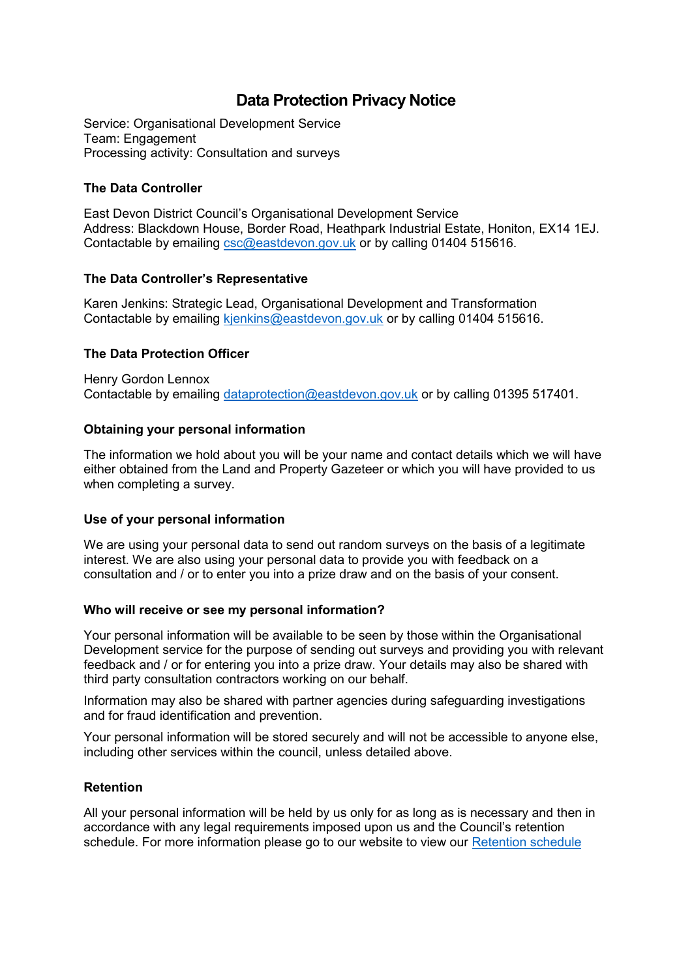# **Data Protection Privacy Notice**

Service: Organisational Development Service Team: Engagement Processing activity: Consultation and surveys

## **The Data Controller**

East Devon District Council's Organisational Development Service Address: Blackdown House, Border Road, Heathpark Industrial Estate, Honiton, EX14 1EJ. Contactable by emailing [csc@eastdevon.gov.uk](mailto:csc@eastdevon.gov.uk) or by calling 01404 515616.

## **The Data Controller's Representative**

Karen Jenkins: Strategic Lead, Organisational Development and Transformation Contactable by emailing [kjenkins@eastdevon.gov.uk](mailto:kjenkins@eastdevon.gov.uk) or by calling 01404 515616.

## **The Data Protection Officer**

Henry Gordon Lennox Contactable by emailing [dataprotection@eastdevon.gov.uk](mailto:dataprotection@eastdevon.gov.uk) or by calling 01395 517401.

### **Obtaining your personal information**

The information we hold about you will be your name and contact details which we will have either obtained from the Land and Property Gazeteer or which you will have provided to us when completing a survey.

### **Use of your personal information**

We are using your personal data to send out random surveys on the basis of a legitimate interest. We are also using your personal data to provide you with feedback on a consultation and / or to enter you into a prize draw and on the basis of your consent.

### **Who will receive or see my personal information?**

Your personal information will be available to be seen by those within the Organisational Development service for the purpose of sending out surveys and providing you with relevant feedback and / or for entering you into a prize draw. Your details may also be shared with third party consultation contractors working on our behalf.

Information may also be shared with partner agencies during safeguarding investigations and for fraud identification and prevention.

Your personal information will be stored securely and will not be accessible to anyone else, including other services within the council, unless detailed above.

### **Retention**

All your personal information will be held by us only for as long as is necessary and then in accordance with any legal requirements imposed upon us and the Council's retention schedule. For more information please go to our website to view our [Retention schedule](http://eastdevon.gov.uk/access-to-information/data-protection/document-retention-schedules/)